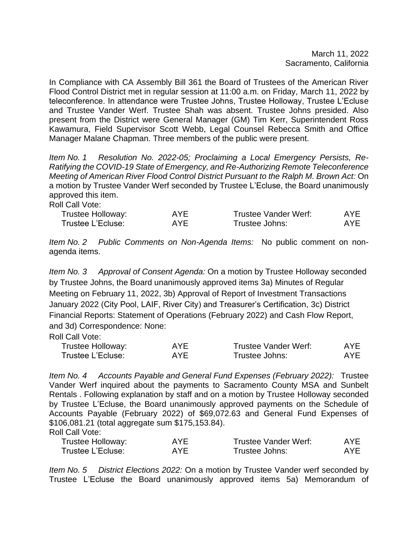March 11, 2022 Sacramento, California

In Compliance with CA Assembly Bill 361 the Board of Trustees of the American River Flood Control District met in regular session at 11:00 a.m. on Friday, March 11, 2022 by teleconference. In attendance were Trustee Johns, Trustee Holloway, Trustee L'Ecluse and Trustee Vander Werf. Trustee Shah was absent. Trustee Johns presided. Also present from the District were General Manager (GM) Tim Kerr, Superintendent Ross Kawamura, Field Supervisor Scott Webb, Legal Counsel Rebecca Smith and Office Manager Malane Chapman. Three members of the public were present.

*Item No. 1 Resolution No. 2022-05; Proclaiming a Local Emergency Persists, Re-Ratifying the COVID-19 State of Emergency, and Re-Authorizing Remote Teleconference Meeting of American River Flood Control District Pursuant to the Ralph M. Brown Act:* On a motion by Trustee Vander Werf seconded by Trustee L'Ecluse, the Board unanimously approved this item.

Roll Call Vote:

| Trustee Holloway: | AYF | <b>Trustee Vander Werf:</b> | AYE |
|-------------------|-----|-----------------------------|-----|
| Trustee L'Ecluse: | AYF | Trustee Johns:              | AYF |

*Item No. 2 Public Comments on Non-Agenda Items:* No public comment on nonagenda items.

*Item No. 3 Approval of Consent Agenda:* On a motion by Trustee Holloway seconded by Trustee Johns, the Board unanimously approved items 3a) Minutes of Regular Meeting on February 11, 2022, 3b) Approval of Report of Investment Transactions January 2022 (City Pool, LAIF, River City) and Treasurer's Certification, 3c) District Financial Reports: Statement of Operations (February 2022) and Cash Flow Report, and 3d) Correspondence: None:

Roll Call Vote:

| Trustee Holloway: | AYE | Trustee Vander Werf: | AYE |
|-------------------|-----|----------------------|-----|
| Trustee L'Ecluse: | AYF | Trustee Johns:       | AYF |

*Item No. 4 Accounts Payable and General Fund Expenses (February 2022):* Trustee Vander Werf inquired about the payments to Sacramento County MSA and Sunbelt Rentals . Following explanation by staff and on a motion by Trustee Holloway seconded by Trustee L'Ecluse, the Board unanimously approved payments on the Schedule of Accounts Payable (February 2022) of \$69,072.63 and General Fund Expenses of \$106,081.21 (total aggregate sum \$175,153.84). Roll Call Vote:

| .                 |     |                      |            |
|-------------------|-----|----------------------|------------|
| Trustee Holloway: | AYE | Trustee Vander Werf: | <b>AYE</b> |
| Trustee L'Ecluse: | AYE | Trustee Johns:       | <b>AYE</b> |

*Item No. 5 District Elections 2022:* On a motion by Trustee Vander werf seconded by Trustee L'Ecluse the Board unanimously approved items 5a) Memorandum of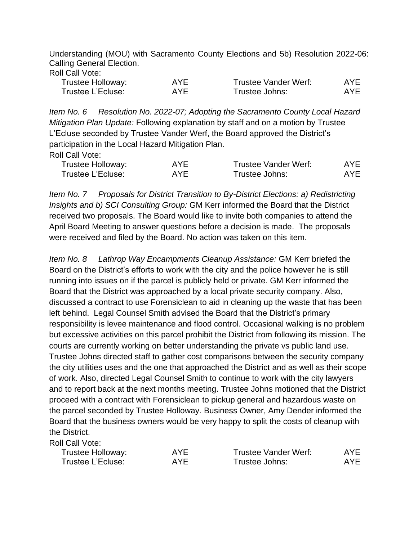Understanding (MOU) with Sacramento County Elections and 5b) Resolution 2022-06: Calling General Election.

|  |  | Roll Call Vote: |
|--|--|-----------------|
|--|--|-----------------|

| Trustee Holloway: | AYF | <b>Trustee Vander Werf:</b> | AYE |
|-------------------|-----|-----------------------------|-----|
| Trustee L'Ecluse: | AYF | Trustee Johns:              | AYF |

*Item No. 6 Resolution No. 2022-07; Adopting the Sacramento County Local Hazard Mitigation Plan Update:* Following explanation by staff and on a motion by Trustee L'Ecluse seconded by Trustee Vander Werf, the Board approved the District's participation in the Local Hazard Mitigation Plan. Roll Call Vote:

| Trustee Holloway: | AYE | Trustee Vander Werf: | <b>AYE</b> |
|-------------------|-----|----------------------|------------|
| Trustee L'Ecluse: | AYF | Trustee Johns:       | <b>AYE</b> |

*Item No. 7 Proposals for District Transition to By-District Elections: a) Redistricting Insights and b) SCI Consulting Group:* GM Kerr informed the Board that the District received two proposals. The Board would like to invite both companies to attend the April Board Meeting to answer questions before a decision is made. The proposals were received and filed by the Board. No action was taken on this item.

*Item No. 8 Lathrop Way Encampments Cleanup Assistance:* GM Kerr briefed the Board on the District's efforts to work with the city and the police however he is still running into issues on if the parcel is publicly held or private. GM Kerr informed the Board that the District was approached by a local private security company. Also, discussed a contract to use Forensiclean to aid in cleaning up the waste that has been left behind. Legal Counsel Smith advised the Board that the District's primary responsibility is levee maintenance and flood control. Occasional walking is no problem but excessive activities on this parcel prohibit the District from following its mission. The courts are currently working on better understanding the private vs public land use. Trustee Johns directed staff to gather cost comparisons between the security company the city utilities uses and the one that approached the District and as well as their scope of work. Also, directed Legal Counsel Smith to continue to work with the city lawyers and to report back at the next months meeting. Trustee Johns motioned that the District proceed with a contract with Forensiclean to pickup general and hazardous waste on the parcel seconded by Trustee Holloway. Business Owner, Amy Dender informed the Board that the business owners would be very happy to split the costs of cleanup with the District.

Roll Call Vote:

| Trustee Holloway: | <b>AYE</b> | Trustee Vander Werf: | AYE. |
|-------------------|------------|----------------------|------|
| Trustee L'Ecluse: | AYF        | Trustee Johns:       | AYE  |